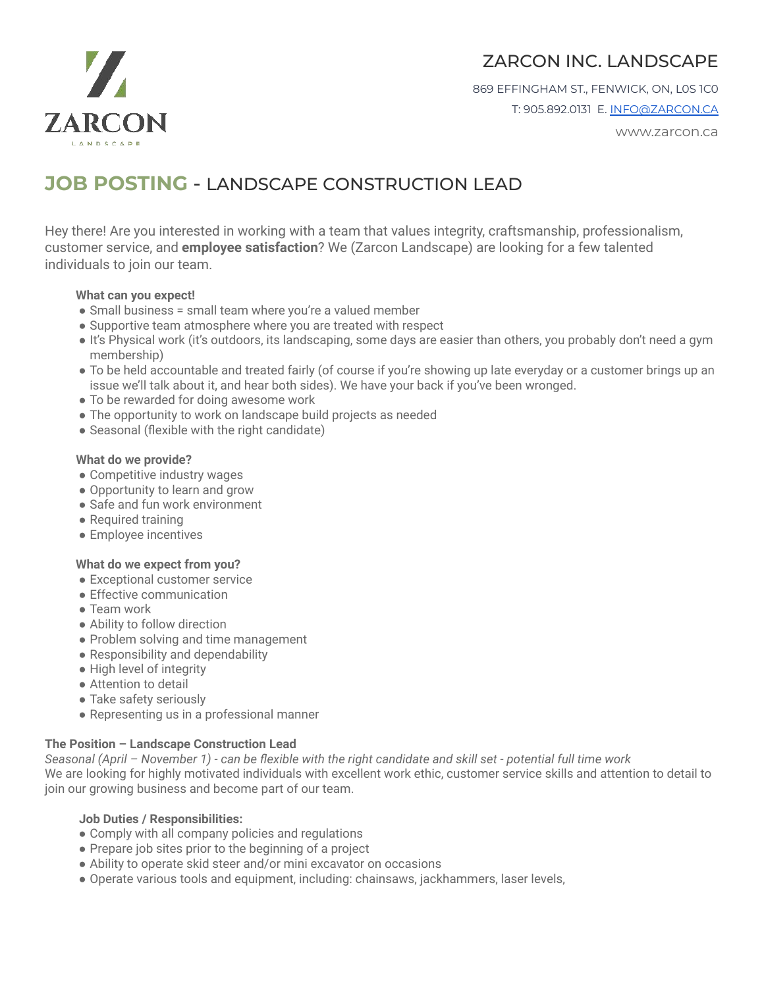

# ZARCON INC. LANDSCAPE

869 EFFINGHAM ST., FENWICK, ON, L0S 1C0 T: 905.892.0131 E. [INFO@ZARCON.CA](mailto:INFO@ZARCON.CA)

www.zarcon.ca

# **JOB POSTING** - LANDSCAPE CONSTRUCTION LEAD

Hey there! Are you interested in working with a team that values integrity, craftsmanship, professionalism, customer service, and **employee satisfaction**? We (Zarcon Landscape) are looking for a few talented individuals to join our team.

#### **What can you expect!**

- Small business = small team where you're a valued member
- Supportive team atmosphere where you are treated with respect
- It's Physical work (it's outdoors, its landscaping, some days are easier than others, you probably don't need a gym membership)
- To be held accountable and treated fairly (of course if you're showing up late everyday or a customer brings up an issue we'll talk about it, and hear both sides). We have your back if you've been wronged.
- To be rewarded for doing awesome work
- The opportunity to work on landscape build projects as needed
- Seasonal (flexible with the right candidate)

#### **What do we provide?**

- Competitive industry wages
- Opportunity to learn and grow
- Safe and fun work environment
- Required training
- Employee incentives

## **What do we expect from you?**

- Exceptional customer service
- Effective communication
- Team work
- Ability to follow direction
- Problem solving and time management
- Responsibility and dependability
- High level of integrity
- Attention to detail
- Take safety seriously
- Representing us in a professional manner

## **The Position – Landscape Construction Lead**

*Seasonal (April – November 1) - can be flexible with the right candidate and skill set - potential full time work* We are looking for highly motivated individuals with excellent work ethic, customer service skills and attention to detail to join our growing business and become part of our team.

#### **Job Duties / Responsibilities:**

- Comply with all company policies and regulations
- Prepare job sites prior to the beginning of a project
- Ability to operate skid steer and/or mini excavator on occasions
- Operate various tools and equipment, including: chainsaws, jackhammers, laser levels,